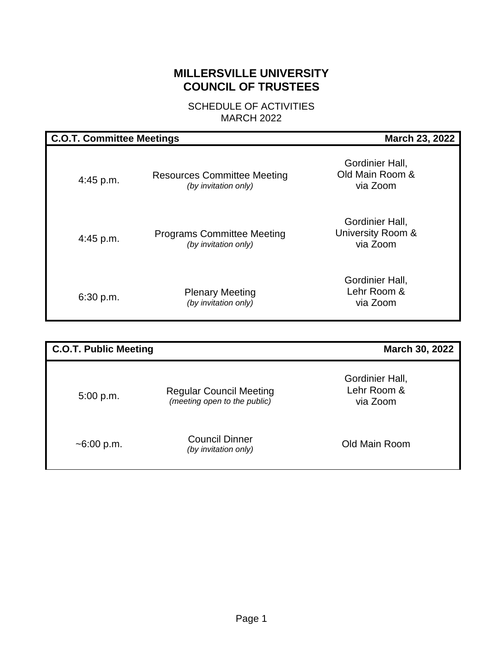# **MILLERSVILLE UNIVERSITY COUNCIL OF TRUSTEES**

SCHEDULE OF ACTIVITIES MARCH 2022

| <b>C.O.T. Committee Meetings</b> |                                                            | <b>March 23, 2022</b>                            |  |  |  |  |
|----------------------------------|------------------------------------------------------------|--------------------------------------------------|--|--|--|--|
| 4:45 p.m.                        | <b>Resources Committee Meeting</b><br>(by invitation only) | Gordinier Hall,<br>Old Main Room &<br>via Zoom   |  |  |  |  |
| $4:45$ p.m.                      | <b>Programs Committee Meeting</b><br>(by invitation only)  | Gordinier Hall,<br>University Room &<br>via Zoom |  |  |  |  |
| 6:30 p.m.                        | <b>Plenary Meeting</b><br>(by invitation only)             | Gordinier Hall,<br>Lehr Room &<br>via Zoom       |  |  |  |  |

| <b>C.O.T. Public Meeting</b> |                                                                | March 30, 2022                             |
|------------------------------|----------------------------------------------------------------|--------------------------------------------|
| 5:00 p.m.                    | <b>Regular Council Meeting</b><br>(meeting open to the public) | Gordinier Hall,<br>Lehr Room &<br>via Zoom |
| $~5.00$ p.m.                 | <b>Council Dinner</b><br>(by invitation only)                  | Old Main Room                              |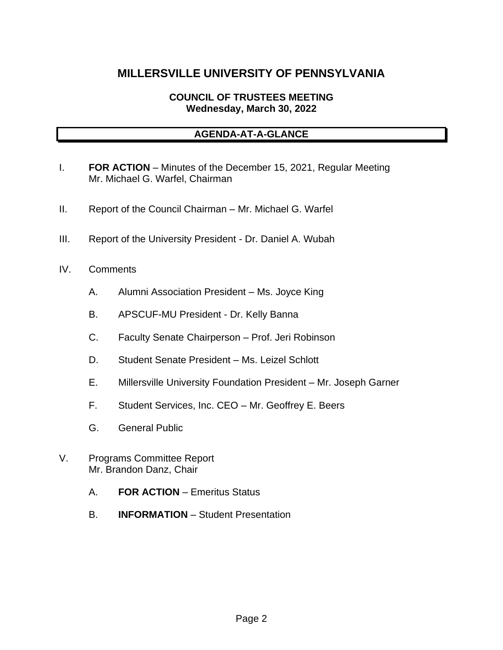# **MILLERSVILLE UNIVERSITY OF PENNSYLVANIA**

# **COUNCIL OF TRUSTEES MEETING Wednesday, March 30, 2022**

# **AGENDA-AT-A-GLANCE**

- I. **FOR ACTION** Minutes of the December 15, 2021, Regular Meeting Mr. Michael G. Warfel, Chairman
- II. Report of the Council Chairman Mr. Michael G. Warfel
- III. Report of the University President Dr. Daniel A. Wubah
- IV. Comments
	- A. Alumni Association President Ms. Joyce King
	- B. APSCUF-MU President Dr. Kelly Banna
	- C. Faculty Senate Chairperson Prof. Jeri Robinson
	- D. Student Senate President Ms. Leizel Schlott
	- E. Millersville University Foundation President Mr. Joseph Garner
	- F. Student Services, Inc. CEO Mr. Geoffrey E. Beers
	- G. General Public
- V. Programs Committee Report Mr. Brandon Danz, Chair
	- A. **FOR ACTION** Emeritus Status
	- B. **INFORMATION** Student Presentation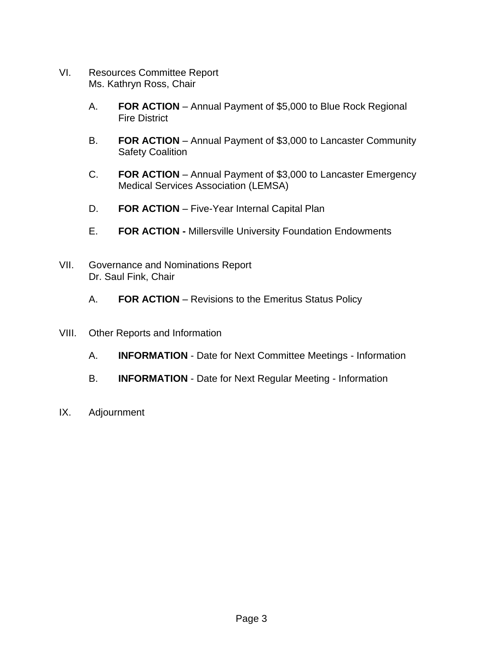- VI. Resources Committee Report Ms. Kathryn Ross, Chair
	- A. **FOR ACTION** Annual Payment of \$5,000 to Blue Rock Regional Fire District
	- B. **FOR ACTION** Annual Payment of \$3,000 to Lancaster Community Safety Coalition
	- C. **FOR ACTION** Annual Payment of \$3,000 to Lancaster Emergency Medical Services Association (LEMSA)
	- D. **FOR ACTION** Five-Year Internal Capital Plan
	- E. **FOR ACTION -** Millersville University Foundation Endowments
- VII. Governance and Nominations Report Dr. Saul Fink, Chair
	- A. **FOR ACTION**  Revisions to the Emeritus Status Policy
- VIII. Other Reports and Information
	- A. **INFORMATION** Date for Next Committee Meetings Information
	- B. **INFORMATION** Date for Next Regular Meeting Information
- IX. Adjournment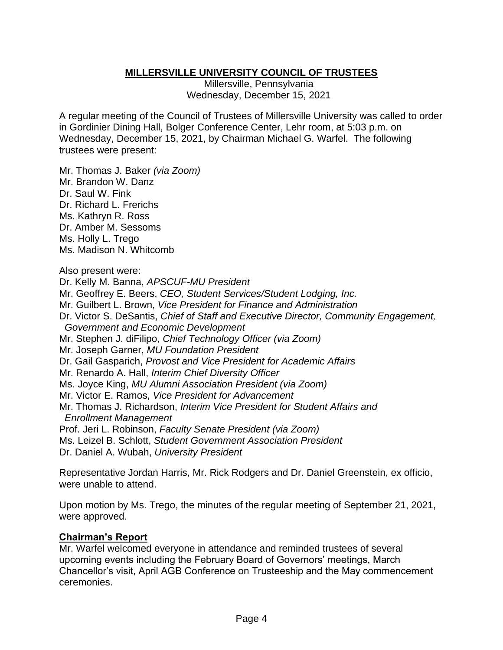# **MILLERSVILLE UNIVERSITY COUNCIL OF TRUSTEES**

Millersville, Pennsylvania Wednesday, December 15, 2021

A regular meeting of the Council of Trustees of Millersville University was called to order in Gordinier Dining Hall, Bolger Conference Center, Lehr room, at 5:03 p.m. on Wednesday, December 15, 2021, by Chairman Michael G. Warfel. The following trustees were present:

Mr. Thomas J. Baker *(via Zoom)* Mr. Brandon W. Danz Dr. Saul W. Fink Dr. Richard L. Frerichs Ms. Kathryn R. Ross Dr. Amber M. Sessoms Ms. Holly L. Trego Ms. Madison N. Whitcomb

Also present were:

Dr. Kelly M. Banna, *APSCUF-MU President*

Mr. Geoffrey E. Beers, *CEO, Student Services/Student Lodging, Inc.*

Mr. Guilbert L. Brown, *Vice President for Finance and Administration*

Dr. Victor S. DeSantis, *Chief of Staff and Executive Director, Community Engagement, Government and Economic Development*

Mr. Stephen J. diFilipo, *Chief Technology Officer (via Zoom)*

Mr. Joseph Garner, *MU Foundation President*

Dr. Gail Gasparich, *Provost and Vice President for Academic Affairs*

Mr. Renardo A. Hall, *Interim Chief Diversity Officer*

Ms. Joyce King, *MU Alumni Association President (via Zoom)*

Mr. Victor E. Ramos, *Vice President for Advancement*

Mr. Thomas J. Richardson, *Interim Vice President for Student Affairs and Enrollment Management*

Prof. Jeri L. Robinson, *Faculty Senate President (via Zoom)*

Ms. Leizel B. Schlott, *Student Government Association President*

Dr. Daniel A. Wubah, *University President*

Representative Jordan Harris, Mr. Rick Rodgers and Dr. Daniel Greenstein, ex officio, were unable to attend.

Upon motion by Ms. Trego, the minutes of the regular meeting of September 21, 2021, were approved.

### **Chairman's Report**

Mr. Warfel welcomed everyone in attendance and reminded trustees of several upcoming events including the February Board of Governors' meetings, March Chancellor's visit, April AGB Conference on Trusteeship and the May commencement ceremonies.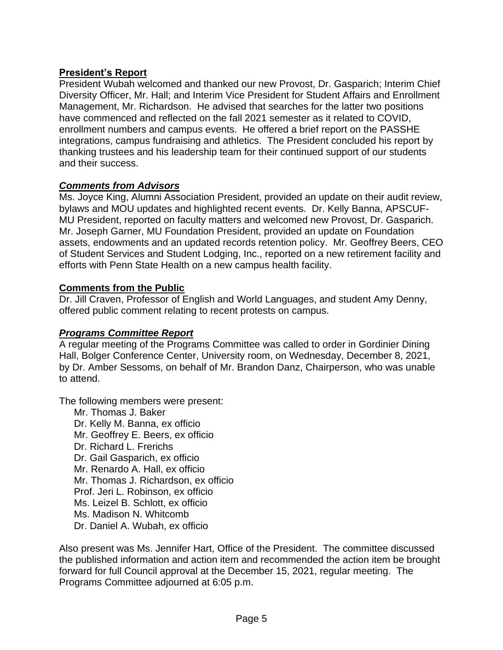# **President's Report**

President Wubah welcomed and thanked our new Provost, Dr. Gasparich; Interim Chief Diversity Officer, Mr. Hall; and Interim Vice President for Student Affairs and Enrollment Management, Mr. Richardson. He advised that searches for the latter two positions have commenced and reflected on the fall 2021 semester as it related to COVID, enrollment numbers and campus events. He offered a brief report on the PASSHE integrations, campus fundraising and athletics. The President concluded his report by thanking trustees and his leadership team for their continued support of our students and their success.

# *Comments from Advisors*

Ms. Joyce King, Alumni Association President, provided an update on their audit review, bylaws and MOU updates and highlighted recent events. Dr. Kelly Banna, APSCUF-MU President, reported on faculty matters and welcomed new Provost, Dr. Gasparich. Mr. Joseph Garner, MU Foundation President, provided an update on Foundation assets, endowments and an updated records retention policy. Mr. Geoffrey Beers, CEO of Student Services and Student Lodging, Inc., reported on a new retirement facility and efforts with Penn State Health on a new campus health facility.

# **Comments from the Public**

Dr. Jill Craven, Professor of English and World Languages, and student Amy Denny, offered public comment relating to recent protests on campus.

### *Programs Committee Report*

A regular meeting of the Programs Committee was called to order in Gordinier Dining Hall, Bolger Conference Center, University room, on Wednesday, December 8, 2021, by Dr. Amber Sessoms, on behalf of Mr. Brandon Danz, Chairperson, who was unable to attend.

The following members were present:

Mr. Thomas J. Baker Dr. Kelly M. Banna, ex officio Mr. Geoffrey E. Beers, ex officio Dr. Richard L. Frerichs Dr. Gail Gasparich, ex officio Mr. Renardo A. Hall, ex officio Mr. Thomas J. Richardson, ex officio Prof. Jeri L. Robinson, ex officio Ms. Leizel B. Schlott, ex officio Ms. Madison N. Whitcomb Dr. Daniel A. Wubah, ex officio

Also present was Ms. Jennifer Hart, Office of the President. The committee discussed the published information and action item and recommended the action item be brought forward for full Council approval at the December 15, 2021, regular meeting. The Programs Committee adjourned at 6:05 p.m.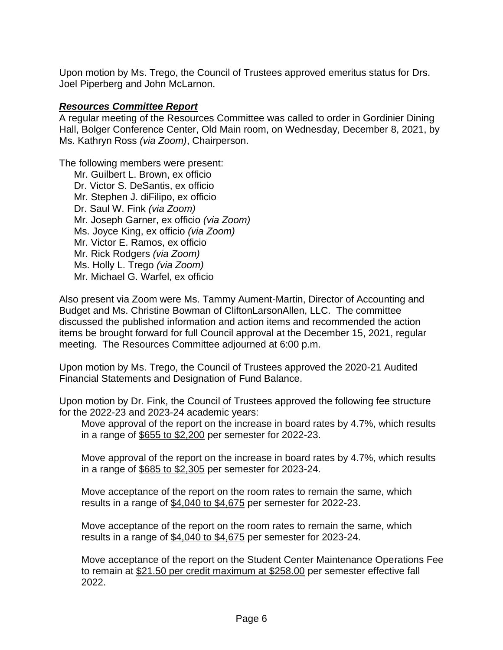Upon motion by Ms. Trego, the Council of Trustees approved emeritus status for Drs. Joel Piperberg and John McLarnon.

#### *Resources Committee Report*

A regular meeting of the Resources Committee was called to order in Gordinier Dining Hall, Bolger Conference Center, Old Main room, on Wednesday, December 8, 2021, by Ms. Kathryn Ross *(via Zoom)*, Chairperson.

The following members were present:

Mr. Guilbert L. Brown, ex officio Dr. Victor S. DeSantis, ex officio Mr. Stephen J. diFilipo, ex officio Dr. Saul W. Fink *(via Zoom)* Mr. Joseph Garner, ex officio *(via Zoom)* Ms. Joyce King, ex officio *(via Zoom)* Mr. Victor E. Ramos, ex officio Mr. Rick Rodgers *(via Zoom)* Ms. Holly L. Trego *(via Zoom)* Mr. Michael G. Warfel, ex officio

Also present via Zoom were Ms. Tammy Aument-Martin, Director of Accounting and Budget and Ms. Christine Bowman of CliftonLarsonAllen, LLC. The committee discussed the published information and action items and recommended the action items be brought forward for full Council approval at the December 15, 2021, regular meeting. The Resources Committee adjourned at 6:00 p.m.

Upon motion by Ms. Trego, the Council of Trustees approved the 2020-21 Audited Financial Statements and Designation of Fund Balance.

Upon motion by Dr. Fink, the Council of Trustees approved the following fee structure for the 2022-23 and 2023-24 academic years:

Move approval of the report on the increase in board rates by 4.7%, which results in a range of \$655 to \$2,200 per semester for 2022-23.

Move approval of the report on the increase in board rates by 4.7%, which results in a range of \$685 to \$2,305 per semester for 2023-24.

Move acceptance of the report on the room rates to remain the same, which results in a range of \$4,040 to \$4,675 per semester for 2022-23.

Move acceptance of the report on the room rates to remain the same, which results in a range of \$4,040 to \$4,675 per semester for 2023-24.

Move acceptance of the report on the Student Center Maintenance Operations Fee to remain at \$21.50 per credit maximum at \$258.00 per semester effective fall 2022.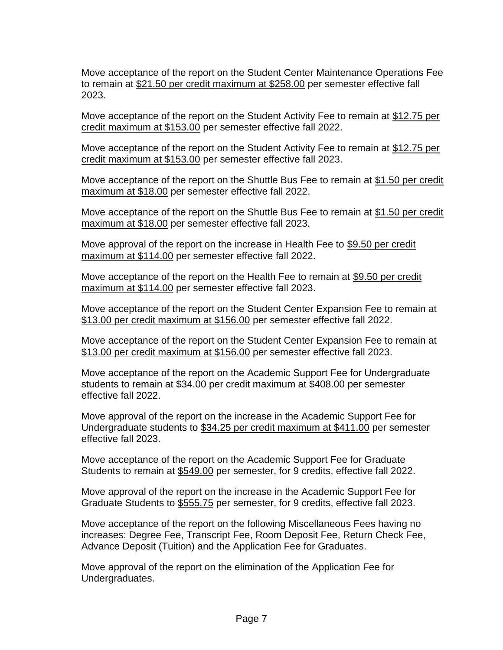Move acceptance of the report on the Student Center Maintenance Operations Fee to remain at \$21.50 per credit maximum at \$258.00 per semester effective fall 2023.

Move acceptance of the report on the Student Activity Fee to remain at \$12.75 per credit maximum at \$153.00 per semester effective fall 2022.

Move acceptance of the report on the Student Activity Fee to remain at \$12.75 per credit maximum at \$153.00 per semester effective fall 2023.

Move acceptance of the report on the Shuttle Bus Fee to remain at \$1.50 per credit maximum at \$18.00 per semester effective fall 2022.

Move acceptance of the report on the Shuttle Bus Fee to remain at \$1.50 per credit maximum at \$18.00 per semester effective fall 2023.

Move approval of the report on the increase in Health Fee to \$9.50 per credit maximum at \$114.00 per semester effective fall 2022.

Move acceptance of the report on the Health Fee to remain at \$9.50 per credit maximum at \$114.00 per semester effective fall 2023.

Move acceptance of the report on the Student Center Expansion Fee to remain at \$13.00 per credit maximum at \$156.00 per semester effective fall 2022.

Move acceptance of the report on the Student Center Expansion Fee to remain at \$13.00 per credit maximum at \$156.00 per semester effective fall 2023.

Move acceptance of the report on the Academic Support Fee for Undergraduate students to remain at \$34.00 per credit maximum at \$408.00 per semester effective fall 2022.

Move approval of the report on the increase in the Academic Support Fee for Undergraduate students to \$34.25 per credit maximum at \$411.00 per semester effective fall 2023.

Move acceptance of the report on the Academic Support Fee for Graduate Students to remain at \$549.00 per semester, for 9 credits, effective fall 2022.

Move approval of the report on the increase in the Academic Support Fee for Graduate Students to \$555.75 per semester, for 9 credits, effective fall 2023.

Move acceptance of the report on the following Miscellaneous Fees having no increases: Degree Fee, Transcript Fee, Room Deposit Fee, Return Check Fee, Advance Deposit (Tuition) and the Application Fee for Graduates.

Move approval of the report on the elimination of the Application Fee for Undergraduates.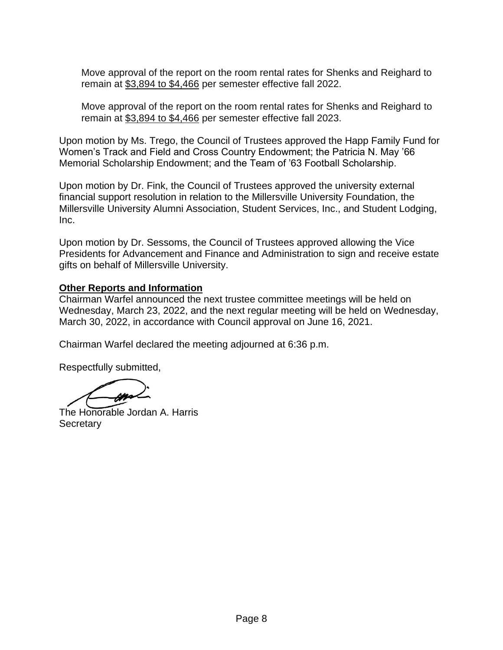Move approval of the report on the room rental rates for Shenks and Reighard to remain at \$3,894 to \$4,466 per semester effective fall 2022.

Move approval of the report on the room rental rates for Shenks and Reighard to remain at \$3,894 to \$4,466 per semester effective fall 2023.

Upon motion by Ms. Trego, the Council of Trustees approved the Happ Family Fund for Women's Track and Field and Cross Country Endowment; the Patricia N. May '66 Memorial Scholarship Endowment; and the Team of '63 Football Scholarship.

Upon motion by Dr. Fink, the Council of Trustees approved the university external financial support resolution in relation to the Millersville University Foundation, the Millersville University Alumni Association, Student Services, Inc., and Student Lodging, Inc.

Upon motion by Dr. Sessoms, the Council of Trustees approved allowing the Vice Presidents for Advancement and Finance and Administration to sign and receive estate gifts on behalf of Millersville University.

### **Other Reports and Information**

Chairman Warfel announced the next trustee committee meetings will be held on Wednesday, March 23, 2022, and the next regular meeting will be held on Wednesday, March 30, 2022, in accordance with Council approval on June 16, 2021.

Chairman Warfel declared the meeting adjourned at 6:36 p.m.

Respectfully submitted,

The Honorable Jordan A. Harris **Secretary**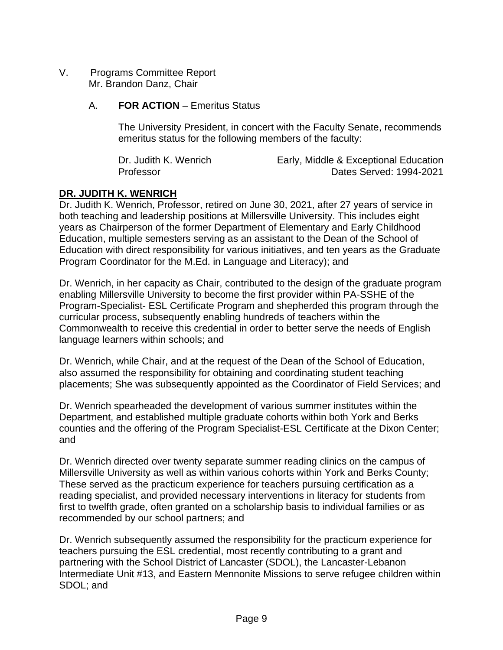- V. Programs Committee Report Mr. Brandon Danz, Chair
	- A. **FOR ACTION** Emeritus Status

The University President, in concert with the Faculty Senate, recommends emeritus status for the following members of the faculty:

| Dr. Judith K. Wenrich | Early, Middle & Exceptional Education |
|-----------------------|---------------------------------------|
| Professor             | Dates Served: 1994-2021               |

# **DR. JUDITH K. WENRICH**

Dr. Judith K. Wenrich, Professor, retired on June 30, 2021, after 27 years of service in both teaching and leadership positions at Millersville University. This includes eight years as Chairperson of the former Department of Elementary and Early Childhood Education, multiple semesters serving as an assistant to the Dean of the School of Education with direct responsibility for various initiatives, and ten years as the Graduate Program Coordinator for the M.Ed. in Language and Literacy); and

Dr. Wenrich, in her capacity as Chair, contributed to the design of the graduate program enabling Millersville University to become the first provider within PA-SSHE of the Program-Specialist- ESL Certificate Program and shepherded this program through the curricular process, subsequently enabling hundreds of teachers within the Commonwealth to receive this credential in order to better serve the needs of English language learners within schools; and

Dr. Wenrich, while Chair, and at the request of the Dean of the School of Education, also assumed the responsibility for obtaining and coordinating student teaching placements; She was subsequently appointed as the Coordinator of Field Services; and

Dr. Wenrich spearheaded the development of various summer institutes within the Department, and established multiple graduate cohorts within both York and Berks counties and the offering of the Program Specialist-ESL Certificate at the Dixon Center; and

Dr. Wenrich directed over twenty separate summer reading clinics on the campus of Millersville University as well as within various cohorts within York and Berks County; These served as the practicum experience for teachers pursuing certification as a reading specialist, and provided necessary interventions in literacy for students from first to twelfth grade, often granted on a scholarship basis to individual families or as recommended by our school partners; and

Dr. Wenrich subsequently assumed the responsibility for the practicum experience for teachers pursuing the ESL credential, most recently contributing to a grant and partnering with the School District of Lancaster (SDOL), the Lancaster-Lebanon Intermediate Unit #13, and Eastern Mennonite Missions to serve refugee children within SDOL; and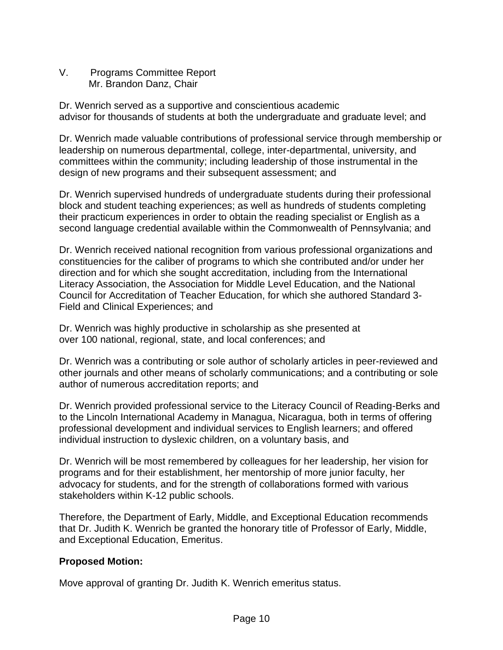V. Programs Committee Report Mr. Brandon Danz, Chair

Dr. Wenrich served as a supportive and conscientious academic advisor for thousands of students at both the undergraduate and graduate level; and

Dr. Wenrich made valuable contributions of professional service through membership or leadership on numerous departmental, college, inter-departmental, university, and committees within the community; including leadership of those instrumental in the design of new programs and their subsequent assessment; and

Dr. Wenrich supervised hundreds of undergraduate students during their professional block and student teaching experiences; as well as hundreds of students completing their practicum experiences in order to obtain the reading specialist or English as a second language credential available within the Commonwealth of Pennsylvania; and

Dr. Wenrich received national recognition from various professional organizations and constituencies for the caliber of programs to which she contributed and/or under her direction and for which she sought accreditation, including from the International Literacy Association, the Association for Middle Level Education, and the National Council for Accreditation of Teacher Education, for which she authored Standard 3- Field and Clinical Experiences; and

Dr. Wenrich was highly productive in scholarship as she presented at over 100 national, regional, state, and local conferences; and

Dr. Wenrich was a contributing or sole author of scholarly articles in peer-reviewed and other journals and other means of scholarly communications; and a contributing or sole author of numerous accreditation reports; and

Dr. Wenrich provided professional service to the Literacy Council of Reading-Berks and to the Lincoln International Academy in Managua, Nicaragua, both in terms of offering professional development and individual services to English learners; and offered individual instruction to dyslexic children, on a voluntary basis, and

Dr. Wenrich will be most remembered by colleagues for her leadership, her vision for programs and for their establishment, her mentorship of more junior faculty, her advocacy for students, and for the strength of collaborations formed with various stakeholders within K-12 public schools.

Therefore, the Department of Early, Middle, and Exceptional Education recommends that Dr. Judith K. Wenrich be granted the honorary title of Professor of Early, Middle, and Exceptional Education, Emeritus.

# **Proposed Motion:**

Move approval of granting Dr. Judith K. Wenrich emeritus status.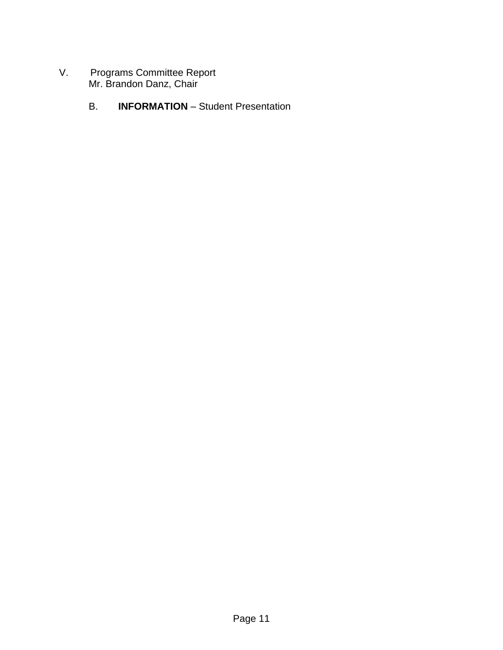- V. Programs Committee Report Mr. Brandon Danz, Chair
	- B. **INFORMATION** Student Presentation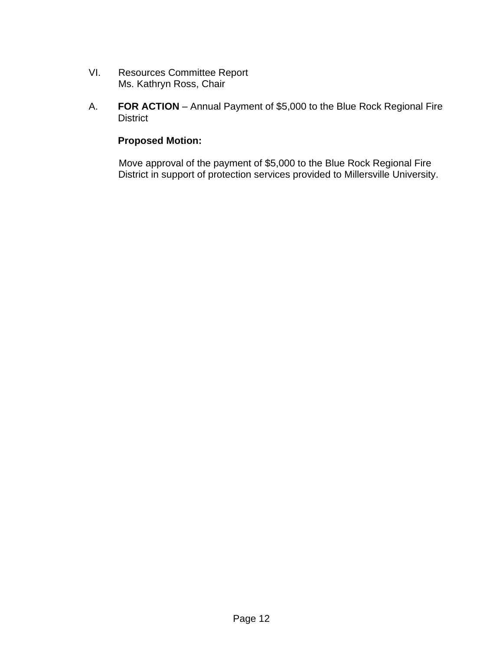- VI. Resources Committee Report Ms. Kathryn Ross, Chair
- A. **FOR ACTION** Annual Payment of \$5,000 to the Blue Rock Regional Fire **District**

## **Proposed Motion:**

Move approval of the payment of \$5,000 to the Blue Rock Regional Fire District in support of protection services provided to Millersville University.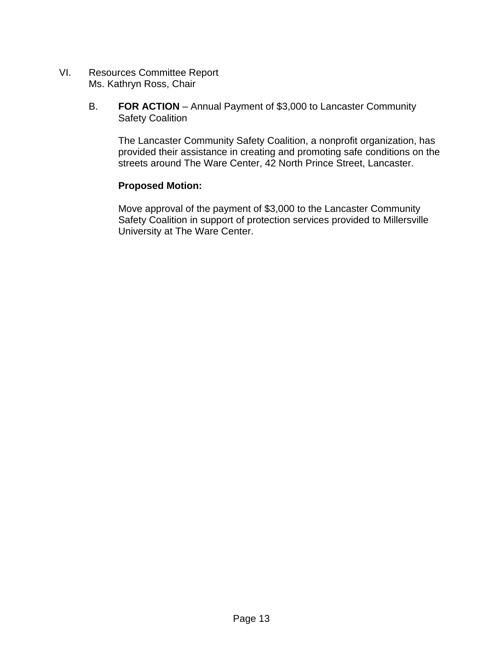- VI. Resources Committee Report Ms. Kathryn Ross, Chair
	- B. **FOR ACTION** Annual Payment of \$3,000 to Lancaster Community Safety Coalition

The Lancaster Community Safety Coalition, a nonprofit organization, has provided their assistance in creating and promoting safe conditions on the streets around The Ware Center, 42 North Prince Street, Lancaster.

# **Proposed Motion:**

Move approval of the payment of \$3,000 to the Lancaster Community Safety Coalition in support of protection services provided to Millersville University at The Ware Center.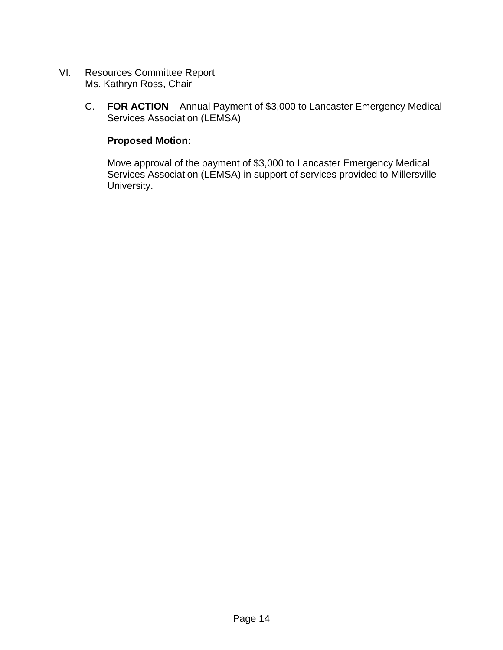- VI. Resources Committee Report Ms. Kathryn Ross, Chair
	- C. **FOR ACTION** Annual Payment of \$3,000 to Lancaster Emergency Medical Services Association (LEMSA)

## **Proposed Motion:**

Move approval of the payment of \$3,000 to Lancaster Emergency Medical Services Association (LEMSA) in support of services provided to Millersville University.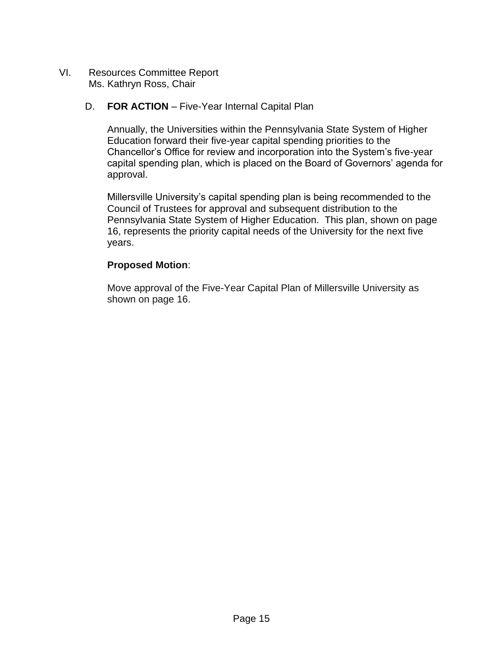VI. Resources Committee Report Ms. Kathryn Ross, Chair

## D. **FOR ACTION** – Five-Year Internal Capital Plan

Annually, the Universities within the Pennsylvania State System of Higher Education forward their five-year capital spending priorities to the Chancellor's Office for review and incorporation into the System's five-year capital spending plan, which is placed on the Board of Governors' agenda for approval.

Millersville University's capital spending plan is being recommended to the Council of Trustees for approval and subsequent distribution to the Pennsylvania State System of Higher Education. This plan, shown on page 16, represents the priority capital needs of the University for the next five years.

### **Proposed Motion**:

Move approval of the Five-Year Capital Plan of Millersville University as shown on page 16.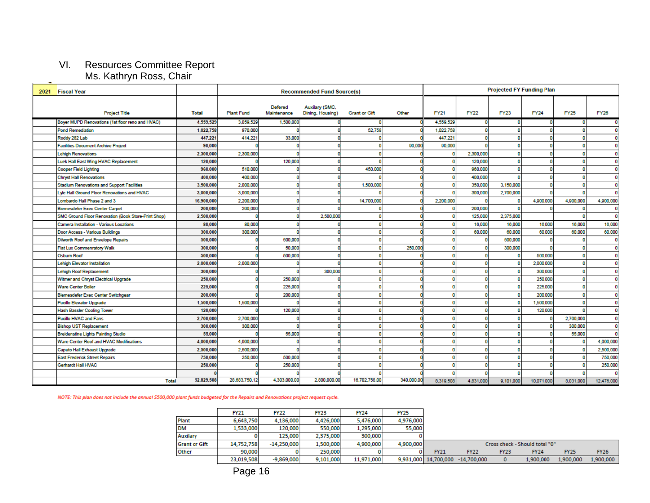### VI. Resources Committee Report Ms. Kathryn Ross, Chair

|                      | 100.119111111110000, 011011                           |              |                   |                        |                                    |                      |            | <b>Projected FY Funding Plan</b> |             |             |             |             |              |
|----------------------|-------------------------------------------------------|--------------|-------------------|------------------------|------------------------------------|----------------------|------------|----------------------------------|-------------|-------------|-------------|-------------|--------------|
|                      | 2021 Fiscal Year<br><b>Recommended Fund Source(s)</b> |              |                   |                        |                                    |                      |            |                                  |             |             |             |             |              |
| <b>Project Title</b> |                                                       | <b>Total</b> | <b>Plant Fund</b> | Defered<br>Maintenance | Auxilary (SMC,<br>Dining, Housing) | <b>Grant or Gift</b> | Other      | <b>FY21</b>                      | <b>FY22</b> | <b>FY23</b> | <b>FY24</b> | <b>FY25</b> | <b>FY26</b>  |
|                      | Boyer MUPD Renovations (1st floor reno and HVAC)      | 4,559,529    | 3,059,529         | 1,500,000              |                                    |                      |            | 4,559,529                        |             | n           |             |             |              |
|                      | <b>Pond Remediation</b>                               | 1,022,758    | 970,000           |                        |                                    | 52,758               |            | 1,022,758                        |             |             |             |             |              |
|                      | Roddy 282 Lab                                         | 447.221      | 414,22            | 33,000                 |                                    |                      |            | 447,221                          |             |             |             |             |              |
|                      | <b>Facilities Document Archive Project</b>            | 90,000       |                   |                        |                                    |                      | 90,000     | 90,000                           |             |             |             |             |              |
|                      | <b>Lehigh Renovations</b>                             | 2,300,000    | 2,300,000         |                        |                                    |                      |            | o                                | 2,300,000   |             |             |             |              |
|                      | Luek Hall East Wing HVAC Replacement                  | 120,000      |                   | 120,000                |                                    |                      |            | o                                | 120,000     |             |             |             |              |
|                      | <b>Cooper Field Lighting</b>                          | 960,000      | 510,000           |                        |                                    | 450,000              |            | o                                | 960,000     |             |             |             |              |
|                      | <b>Chryst Hall Renovations</b>                        | 400,000      | 400,000           |                        |                                    |                      |            | O                                | 400,000     |             |             |             |              |
|                      | <b>Stadium Renovations and Support Facilities</b>     | 3,500,000    | 2,000,000         |                        |                                    | 1,500,000            |            |                                  | 350,000     | 3,150,000   |             |             |              |
|                      | Lyle Hall Ground Floor Renovations and HVAC           | 3,000,000    | 3,000,000         |                        |                                    |                      |            | n                                | 300,000     | 2,700,000   |             |             |              |
|                      | Lombardo Hall Phase 2 and 3                           | 16,900,000   | 2,200,000         |                        |                                    | 14,700,000           |            | 2,200,000                        |             |             | 4,900,000   | 4,900,000   | 4,900,000    |
|                      | <b>Biemesdefer Exec Center Carpet</b>                 | 200,000      | 200,000           |                        |                                    |                      |            | O                                | 200,000     |             |             |             | $\mathbf{0}$ |
|                      | SMC Ground Floor Renovation (Book Store-Print Shop)   | 2,500,000    |                   |                        | 2,500,000                          |                      |            | O                                | 125,000     | 2,375,000   |             |             | O            |
|                      | <b>Camera Installation - Various Locations</b>        | 80,000       | 80,000            |                        |                                    |                      |            |                                  | 16,000      | 16,000      | 16,000      | 16,000      | 16,000       |
|                      | Door Access - Various Buildings                       | 300,000      | 300,000           |                        |                                    |                      |            |                                  | 60,000      | 60,000      | 60,000      | 60,000      | 60,000       |
|                      | Dilworth Roof and Envelope Repairs                    | 500,000      |                   | 500,000                |                                    |                      |            |                                  |             | 500,000     |             |             | n            |
|                      | <b>Fiat Lux Commenratory Walk</b>                     | 300,000      |                   | 50,000                 |                                    |                      | 250,000    | o                                |             | 300,000     |             | $\Omega$    | n            |
|                      | Osburn Roof                                           | 500,000      |                   | 500,000                |                                    |                      |            | 0                                |             |             | 500,000     | 0           | n            |
|                      | <b>Lehigh Elevator Installation</b>                   | 2,000,000    | 2,000,000         |                        |                                    |                      |            | O                                |             |             | 2,000,000   | $\Omega$    |              |
|                      | <b>Lehigh Roof Replacement</b>                        | 300,000      |                   |                        | 300,000                            |                      |            | O                                | n           |             | 300,000     | $\Omega$    | O            |
|                      | Witmer and Chryst Electrical Upgrade                  | 250,000      |                   | 250,000                |                                    |                      |            |                                  |             |             | 250,000     | $\Omega$    |              |
|                      | <b>Ware Center Boiler</b>                             | 225,000      |                   | 225,000                |                                    |                      |            | n                                |             |             | 225,000     | $\Omega$    |              |
|                      | <b>Biemesdefer Exec Center Switchgear</b>             | 200,000      |                   | 200,000                |                                    |                      |            | O                                |             |             | 200,000     | n           |              |
|                      | <b>Pucillo Elevator Upgrade</b>                       | 1,500,000    | 1,500,000         |                        |                                    |                      |            | O                                | n           |             | 1,500,000   |             | n            |
|                      | Hash Bassler Cooling Tower                            | 120,000      |                   | 120,000                |                                    |                      |            | O                                | n           |             | 120,000     | n           | n            |
|                      | <b>Pucillo HVAC and Fans</b>                          | 2,700,000    | 2,700,000         |                        |                                    |                      |            | o                                | n           |             |             | 2,700,000   | O            |
|                      | <b>Bishop UST Replacement</b>                         | 300,000      | 300,000           |                        |                                    |                      |            | o                                | n           |             |             | 300,000     | O            |
|                      | <b>Breidenstine Lights Painting Studio</b>            | 55,000       |                   | 55,000                 |                                    |                      |            | o                                |             | n           |             | 55,000      |              |
|                      | Ware Center Roof and HVAC Modifications               | 4,000,000    | 4,000,000         |                        |                                    |                      |            |                                  |             |             |             |             | 4,000,000    |
|                      | Caputo Hall Exhaust Upgrade                           | 2,500,000    | 2,500,000         |                        |                                    |                      |            |                                  |             |             |             |             | 2,500,000    |
|                      | <b>East Frederick Street Repairs</b>                  | 750,000      | 250,000           | 500,000                |                                    |                      |            |                                  |             |             |             |             | 750,000      |
|                      | Gerhardt Hall HVAC                                    | 250,000      |                   | 250,000                |                                    |                      |            |                                  |             |             |             |             | 250,000      |
|                      |                                                       |              |                   |                        |                                    |                      |            |                                  |             |             |             |             |              |
|                      | <b>Total</b>                                          | 52,829,508   | 28,683,750.12     | 4,303,000.00           | 2,800,000.00                       | 16,702,758.00        | 340,000.00 | 8,319,508                        | 4,831,000   | 9,101,000   | 10,071,000  | 8,031,000   | 12,476,000   |

NOTE: This plan does not include the annual \$500,000 plant funds budgeted for the Repairs and Renovations project request cycle.

|                      | <b>FY21</b> | <b>FY22</b>   | <b>FY23</b> | <b>FY24</b> | <b>FY25</b> |                                |                                  |             |             |             |             |
|----------------------|-------------|---------------|-------------|-------------|-------------|--------------------------------|----------------------------------|-------------|-------------|-------------|-------------|
| Plant                | 6,643,750   | 4,136,000     | 4,426,000   | 5,476,000   | 4,976,000   |                                |                                  |             |             |             |             |
| <b>DM</b>            | 1,533,000   | 120,000       | 550,000     | 1,295,000   | 55,000      |                                |                                  |             |             |             |             |
| Auxilary             |             | 125,000       | 2,375,000   | 300,000     |             |                                |                                  |             |             |             |             |
| <b>Grant or Gift</b> | 14,752,758  | $-14,250,000$ | 1,500,000   | 4,900,000   | 4,900,000   | Cross check - Should total "0" |                                  |             |             |             |             |
| Other                | 90,000      |               | 250,000     |             |             | <b>FY21</b>                    | <b>FY22</b>                      | <b>FY23</b> | <b>FY24</b> | <b>FY25</b> | <b>FY26</b> |
|                      | 23,019,508  | $-9,869,000$  | 9,101,000   | 11,971,000  |             |                                | 9,931,000 14,700,000 -14,700,000 |             | 1,900,000   | 1,900,000   | 1,900,000   |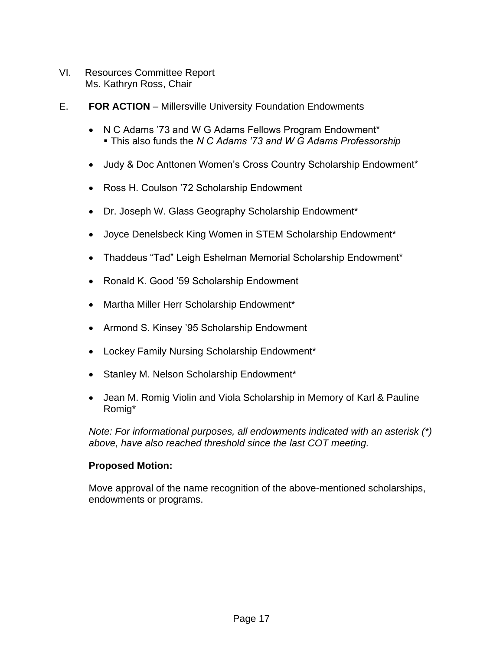- VI. Resources Committee Report Ms. Kathryn Ross, Chair
- E. **FOR ACTION** Millersville University Foundation Endowments
	- N C Adams '73 and W G Adams Fellows Program Endowment\* ▪ This also funds the *N C Adams '73 and W G Adams Professorship*
	- Judy & Doc Anttonen Women's Cross Country Scholarship Endowment\*
	- Ross H. Coulson '72 Scholarship Endowment
	- Dr. Joseph W. Glass Geography Scholarship Endowment\*
	- Joyce Denelsbeck King Women in STEM Scholarship Endowment\*
	- Thaddeus "Tad" Leigh Eshelman Memorial Scholarship Endowment\*
	- Ronald K. Good '59 Scholarship Endowment
	- Martha Miller Herr Scholarship Endowment\*
	- Armond S. Kinsey '95 Scholarship Endowment
	- Lockey Family Nursing Scholarship Endowment\*
	- Stanley M. Nelson Scholarship Endowment\*
	- Jean M. Romig Violin and Viola Scholarship in Memory of Karl & Pauline Romig\*

*Note: For informational purposes, all endowments indicated with an asterisk (\*) above, have also reached threshold since the last COT meeting.* 

### **Proposed Motion:**

Move approval of the name recognition of the above-mentioned scholarships, endowments or programs.